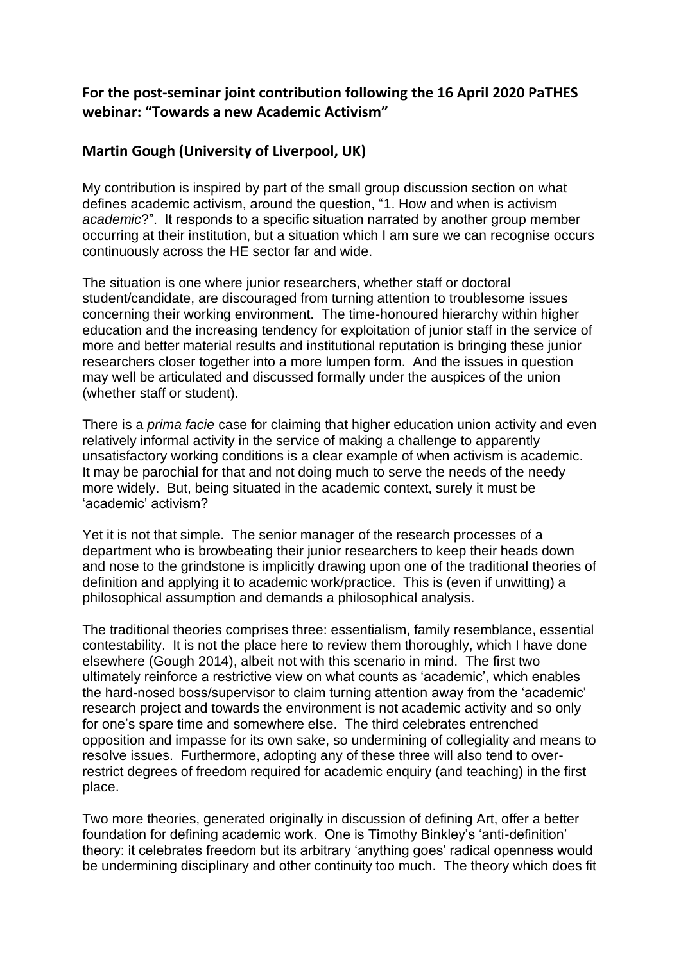## **For the post-seminar joint contribution following the 16 April 2020 PaTHES webinar: "Towards a new Academic Activism"**

## **Martin Gough (University of Liverpool, UK)**

My contribution is inspired by part of the small group discussion section on what defines academic activism, around the question, "1. How and when is activism *academic*?". It responds to a specific situation narrated by another group member occurring at their institution, but a situation which I am sure we can recognise occurs continuously across the HE sector far and wide.

The situation is one where junior researchers, whether staff or doctoral student/candidate, are discouraged from turning attention to troublesome issues concerning their working environment. The time-honoured hierarchy within higher education and the increasing tendency for exploitation of junior staff in the service of more and better material results and institutional reputation is bringing these junior researchers closer together into a more lumpen form. And the issues in question may well be articulated and discussed formally under the auspices of the union (whether staff or student).

There is a *prima facie* case for claiming that higher education union activity and even relatively informal activity in the service of making a challenge to apparently unsatisfactory working conditions is a clear example of when activism is academic. It may be parochial for that and not doing much to serve the needs of the needy more widely. But, being situated in the academic context, surely it must be 'academic' activism?

Yet it is not that simple. The senior manager of the research processes of a department who is browbeating their junior researchers to keep their heads down and nose to the grindstone is implicitly drawing upon one of the traditional theories of definition and applying it to academic work/practice. This is (even if unwitting) a philosophical assumption and demands a philosophical analysis.

The traditional theories comprises three: essentialism, family resemblance, essential contestability. It is not the place here to review them thoroughly, which I have done elsewhere (Gough 2014), albeit not with this scenario in mind. The first two ultimately reinforce a restrictive view on what counts as 'academic', which enables the hard-nosed boss/supervisor to claim turning attention away from the 'academic' research project and towards the environment is not academic activity and so only for one's spare time and somewhere else. The third celebrates entrenched opposition and impasse for its own sake, so undermining of collegiality and means to resolve issues. Furthermore, adopting any of these three will also tend to overrestrict degrees of freedom required for academic enquiry (and teaching) in the first place.

Two more theories, generated originally in discussion of defining Art, offer a better foundation for defining academic work. One is Timothy Binkley's 'anti-definition' theory: it celebrates freedom but its arbitrary 'anything goes' radical openness would be undermining disciplinary and other continuity too much. The theory which does fit